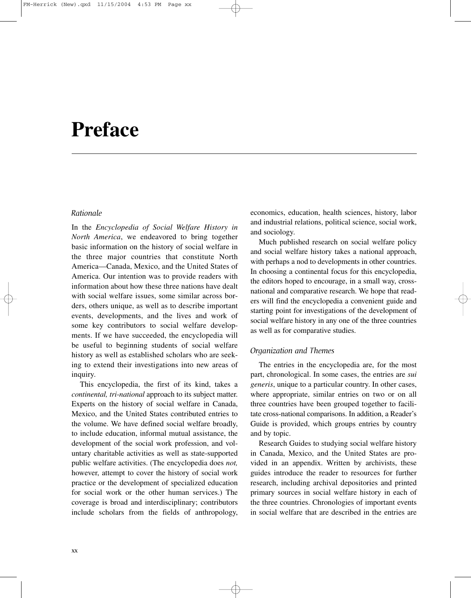# **Preface**

#### *Rationale*

In the *Encyclopedia of Social Welfare History in North America*, we endeavored to bring together basic information on the history of social welfare in the three major countries that constitute North America—Canada, Mexico, and the United States of America. Our intention was to provide readers with information about how these three nations have dealt with social welfare issues, some similar across borders, others unique, as well as to describe important events, developments, and the lives and work of some key contributors to social welfare developments. If we have succeeded, the encyclopedia will be useful to beginning students of social welfare history as well as established scholars who are seeking to extend their investigations into new areas of inquiry.

This encyclopedia, the first of its kind, takes a *continental, tri-national* approach to its subject matter. Experts on the history of social welfare in Canada, Mexico, and the United States contributed entries to the volume. We have defined social welfare broadly, to include education, informal mutual assistance, the development of the social work profession, and voluntary charitable activities as well as state-supported public welfare activities. (The encyclopedia does *not,* however, attempt to cover the history of social work practice or the development of specialized education for social work or the other human services.) The coverage is broad and interdisciplinary; contributors include scholars from the fields of anthropology,

economics, education, health sciences, history, labor and industrial relations, political science, social work, and sociology.

Much published research on social welfare policy and social welfare history takes a national approach, with perhaps a nod to developments in other countries. In choosing a continental focus for this encyclopedia, the editors hoped to encourage, in a small way, crossnational and comparative research. We hope that readers will find the encyclopedia a convenient guide and starting point for investigations of the development of social welfare history in any one of the three countries as well as for comparative studies.

### *Organization and Themes*

The entries in the encyclopedia are, for the most part, chronological. In some cases, the entries are *sui generis*, unique to a particular country. In other cases, where appropriate, similar entries on two or on all three countries have been grouped together to facilitate cross-national comparisons. In addition, a Reader's Guide is provided, which groups entries by country and by topic.

Research Guides to studying social welfare history in Canada, Mexico, and the United States are provided in an appendix. Written by archivists, these guides introduce the reader to resources for further research, including archival depositories and printed primary sources in social welfare history in each of the three countries. Chronologies of important events in social welfare that are described in the entries are